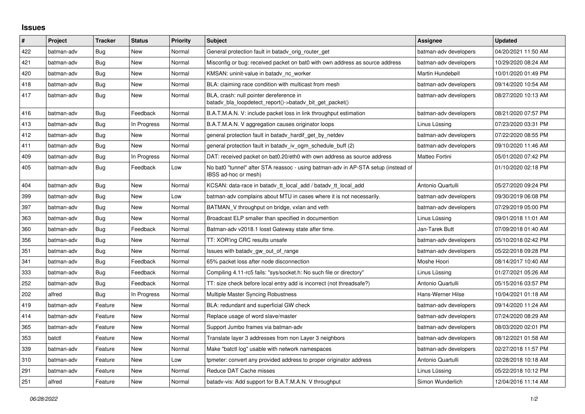## **Issues**

| $\pmb{\sharp}$ | Project    | <b>Tracker</b> | <b>Status</b> | <b>Priority</b> | <b>Subject</b>                                                                                            | <b>Assignee</b>       | <b>Updated</b>      |
|----------------|------------|----------------|---------------|-----------------|-----------------------------------------------------------------------------------------------------------|-----------------------|---------------------|
| 422            | batman-adv | Bug            | <b>New</b>    | Normal          | General protection fault in batady orig router get                                                        | batman-adv developers | 04/20/2021 11:50 AM |
| 421            | batman-adv | Bug            | <b>New</b>    | Normal          | Misconfig or bug: received packet on bat0 with own address as source address                              | batman-adv developers | 10/29/2020 08:24 AM |
| 420            | batman-adv | Bug            | <b>New</b>    | Normal          | KMSAN: uninit-value in batadv_nc_worker                                                                   | Martin Hundebøll      | 10/01/2020 01:49 PM |
| 418            | batman-adv | Bug            | <b>New</b>    | Normal          | BLA: claiming race condition with multicast from mesh                                                     | batman-adv developers | 09/14/2020 10:54 AM |
| 417            | batman-adv | <b>Bug</b>     | <b>New</b>    | Normal          | BLA, crash: null pointer dereference in<br>batady bla loopdetect report()->batady bit get packet()        | batman-adv developers | 08/27/2020 10:13 AM |
| 416            | batman-adv | Bug            | Feedback      | Normal          | B.A.T.M.A.N. V: include packet loss in link throughput estimation                                         | batman-adv developers | 08/21/2020 07:57 PM |
| 413            | batman-adv | <b>Bug</b>     | In Progress   | Normal          | B.A.T.M.A.N. V aggregation causes originator loops                                                        | Linus Lüssing         | 07/23/2020 03:31 PM |
| 412            | batman-adv | <b>Bug</b>     | New           | Normal          | general protection fault in batady_hardif_get_by_netdev                                                   | batman-adv developers | 07/22/2020 08:55 PM |
| 411            | batman-adv | Bug            | <b>New</b>    | Normal          | general protection fault in batady iv ogm schedule buff (2)                                               | batman-adv developers | 09/10/2020 11:46 AM |
| 409            | batman-adv | Bug            | In Progress   | Normal          | DAT: received packet on bat0.20/eth0 with own address as source address                                   | Matteo Fortini        | 05/01/2020 07:42 PM |
| 405            | batman-adv | <b>Bug</b>     | Feedback      | Low             | No bat0 "tunnel" after STA reassoc - using batman-adv in AP-STA setup (instead of<br>IBSS ad-hoc or mesh) |                       | 01/10/2020 02:18 PM |
| 404            | batman-adv | Bug            | <b>New</b>    | Normal          | KCSAN: data-race in batady tt local add / batady tt local add                                             | Antonio Quartulli     | 05/27/2020 09:24 PM |
| 399            | batman-adv | Bug            | <b>New</b>    | Low             | batman-adv complains about MTU in cases where it is not necessarily.                                      | batman-adv developers | 09/30/2019 06:08 PM |
| 397            | batman-adv | <b>Bug</b>     | <b>New</b>    | Normal          | BATMAN_V throughput on bridge, vxlan and veth                                                             | batman-adv developers | 07/29/2019 05:00 PM |
| 363            | batman-adv | Bug            | <b>New</b>    | Normal          | Broadcast ELP smaller than specified in documention                                                       | Linus Lüssing         | 09/01/2018 11:01 AM |
| 360            | batman-adv | Bug            | Feedback      | Normal          | Batman-adv v2018.1 losst Gateway state after time.                                                        | Jan-Tarek Butt        | 07/09/2018 01:40 AM |
| 356            | batman-adv | Bug            | <b>New</b>    | Normal          | TT: XOR'ing CRC results unsafe                                                                            | batman-adv developers | 05/10/2018 02:42 PM |
| 351            | batman-adv | <b>Bug</b>     | <b>New</b>    | Normal          | Issues with batady gw out of range                                                                        | batman-adv developers | 05/22/2018 09:28 PM |
| 341            | batman-adv | <b>Bug</b>     | Feedback      | Normal          | 65% packet loss after node disconnection                                                                  | Moshe Hoori           | 08/14/2017 10:40 AM |
| 333            | batman-adv | Bug            | Feedback      | Normal          | Compiling 4.11-rc5 fails: "sys/socket.h: No such file or directory"                                       | Linus Lüssing         | 01/27/2021 05:26 AM |
| 252            | batman-adv | <b>Bug</b>     | Feedback      | Normal          | TT: size check before local entry add is incorrect (not threadsafe?)                                      | Antonio Quartulli     | 05/15/2016 03:57 PM |
| 202            | alfred     | <b>Bug</b>     | In Progress   | Normal          | Multiple Master Syncing Robustness                                                                        | Hans-Werner Hilse     | 10/04/2021 01:18 AM |
| 419            | batman-adv | Feature        | New           | Normal          | BLA: redundant and superficial GW check                                                                   | batman-adv developers | 09/14/2020 11:24 AM |
| 414            | batman-adv | Feature        | New           | Normal          | Replace usage of word slave/master                                                                        | batman-adv developers | 07/24/2020 08:29 AM |
| 365            | batman-adv | Feature        | New           | Normal          | Support Jumbo frames via batman-adv                                                                       | batman-adv developers | 08/03/2020 02:01 PM |
| 353            | batctl     | Feature        | <b>New</b>    | Normal          | Translate layer 3 addresses from non Layer 3 neighbors                                                    | batman-adv developers | 08/12/2021 01:58 AM |
| 339            | batman-adv | Feature        | New           | Normal          | Make "batctl log" usable with network namespaces                                                          | batman-adv developers | 02/27/2018 11:57 PM |
| 310            | batman-adv | Feature        | <b>New</b>    | Low             | tpmeter: convert any provided address to proper originator address                                        | Antonio Quartulli     | 02/28/2018 10:18 AM |
| 291            | batman-adv | Feature        | <b>New</b>    | Normal          | Reduce DAT Cache misses                                                                                   | Linus Lüssing         | 05/22/2018 10:12 PM |
| 251            | alfred     | Feature        | New           | Normal          | batady-vis: Add support for B.A.T.M.A.N. V throughput                                                     | Simon Wunderlich      | 12/04/2016 11:14 AM |